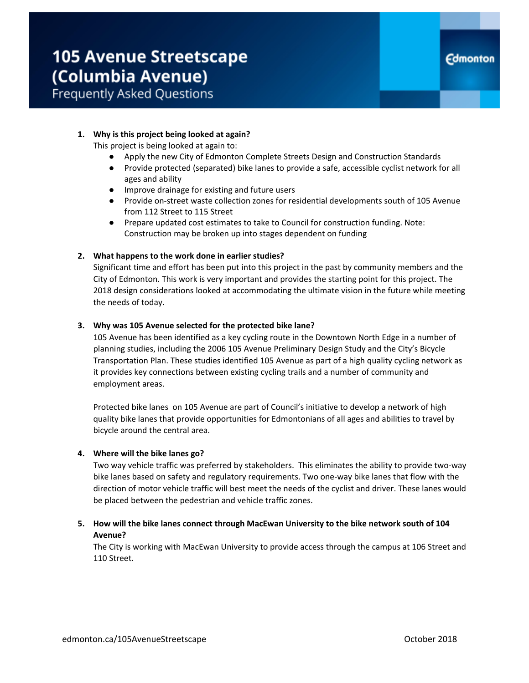# **1. Why is this project being looked at again?**

This project is being looked at again to:

- Apply the new City of Edmonton Complete Streets Design and Construction Standards
- Provide protected (separated) bike lanes to provide a safe, accessible cyclist network for all ages and ability
- Improve drainage for existing and future users
- Provide on-street waste collection zones for residential developments south of 105 Avenue from 112 Street to 115 Street
- Prepare updated cost estimates to take to Council for construction funding. Note: Construction may be broken up into stages dependent on funding

#### **2. What happens to the work done in earlier studies?**

Significant time and effort has been put into this project in the past by community members and the City of Edmonton. This work is very important and provides the starting point for this project. The 2018 design considerations looked at accommodating the ultimate vision in the future while meeting the needs of today.

#### **3. Why was 105 Avenue selected for the protected bike lane?**

105 Avenue has been identified as a key cycling route in the Downtown North Edge in a number of planning studies, including the 2006 105 Avenue Preliminary Design Study and the City's Bicycle Transportation Plan. These studies identified 105 Avenue as part of a high quality cycling network as it provides key connections between existing cycling trails and a number of community and employment areas.

Protected bike lanes on 105 Avenue are part of Council's initiative to develop a network of high quality bike lanes that provide opportunities for Edmontonians of all ages and abilities to travel by bicycle around the central area.

#### **4. Where will the bike lanes go?**

Two way vehicle traffic was preferred by stakeholders. This eliminates the ability to provide two-way bike lanes based on safety and regulatory requirements. Two one-way bike lanes that flow with the direction of motor vehicle traffic will best meet the needs of the cyclist and driver. These lanes would be placed between the pedestrian and vehicle traffic zones.

# **5. How will the bike lanes connect through MacEwan University to the bike network south of 104 Avenue?**

The City is working with MacEwan University to provide access through the campus at 106 Street and 110 Street.